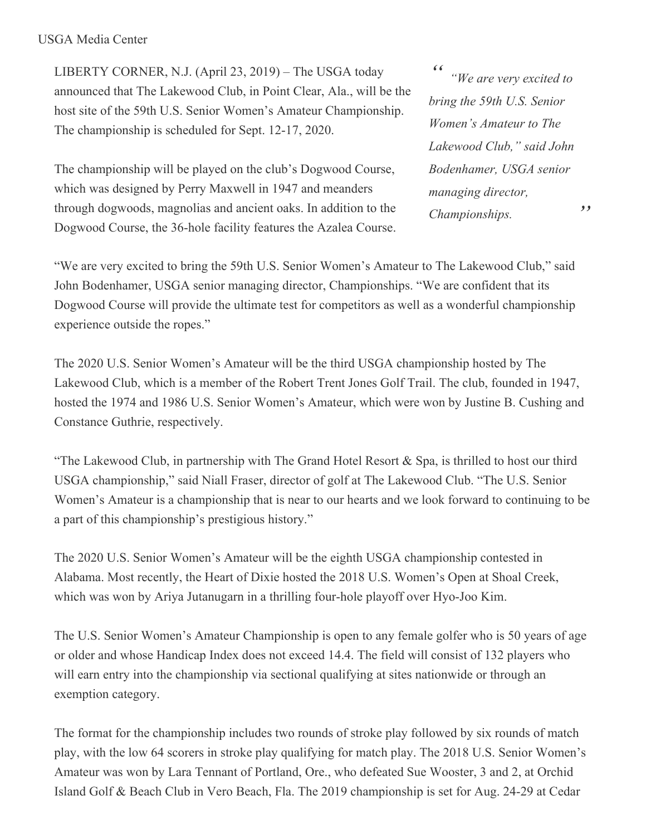## USGA Media Center

LIBERTY CORNER, N.J. (April 23, 2019) – The USGA today announced that The Lakewood Club, in Point Clear, Ala., will be the host site of the 59th U.S. Senior Women's Amateur Championship. The championship is scheduled for Sept. 12-17, 2020.

The championship will be played on the club's Dogwood Course, which was designed by Perry Maxwell in 1947 and meanders through dogwoods, magnolias and ancient oaks. In addition to the Dogwood Course, the 36-hole facility features the Azalea Course.

*" " "We are very excited to bring the 59th U.S. Senior Women's Amateur to The Lakewood Club," said John Bodenhamer, USGA senior managing director, Championships.*

"We are very excited to bring the 59th U.S. Senior Women's Amateur to The Lakewood Club," said John Bodenhamer, USGA senior managing director, Championships. "We are confident that its Dogwood Course will provide the ultimate test for competitors as well as a wonderful championship experience outside the ropes."

The 2020 U.S. Senior Women's Amateur will be the third USGA championship hosted by The Lakewood Club, which is a member of the Robert Trent Jones Golf Trail. The club, founded in 1947, hosted the 1974 and 1986 U.S. Senior Women's Amateur, which were won by Justine B. Cushing and Constance Guthrie, respectively.

"The Lakewood Club, in partnership with The Grand Hotel Resort & Spa, is thrilled to host our third USGA championship," said Niall Fraser, director of golf at The Lakewood Club. "The U.S. Senior Women's Amateur is a championship that is near to our hearts and we look forward to continuing to be a part of this championship's prestigious history."

The 2020 U.S. Senior Women's Amateur will be the eighth USGA championship contested in Alabama. Most recently, the Heart of Dixie hosted the 2018 U.S. Women's Open at Shoal Creek, which was won by Ariya Jutanugarn in a thrilling four-hole playoff over Hyo-Joo Kim.

The U.S. Senior Women's Amateur Championship is open to any female golfer who is 50 years of age or older and whose Handicap Index does not exceed 14.4. The field will consist of 132 players who will earn entry into the championship via sectional qualifying at sites nationwide or through an exemption category.

The format for the championship includes two rounds of stroke play followed by six rounds of match play, with the low 64 scorers in stroke play qualifying for match play. The 2018 U.S. Senior Women's Amateur was won by Lara Tennant of Portland, Ore., who defeated Sue Wooster, 3 and 2, at Orchid Island Golf & Beach Club in Vero Beach, Fla. The 2019 championship is set for Aug. 24-29 at Cedar